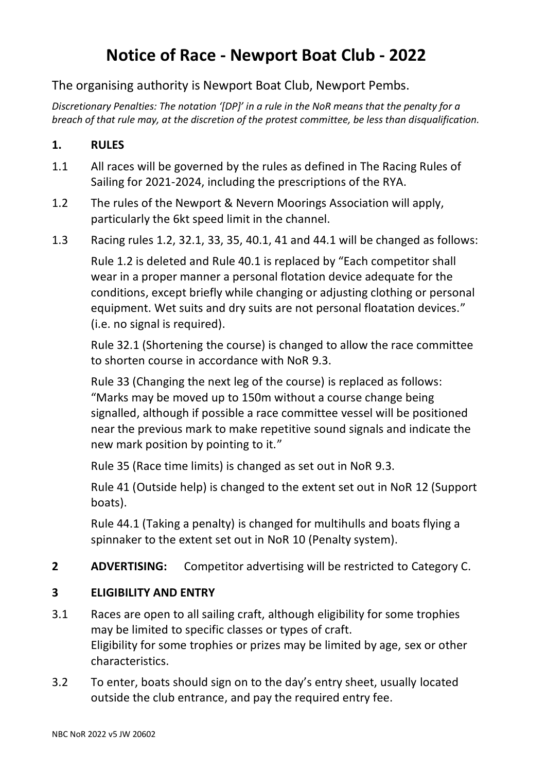# **Notice of Race - Newport Boat Club - 2022**

# The organising authority is Newport Boat Club, Newport Pembs.

*Discretionary Penalties: The notation '[DP]' in a rule in the NoR means that the penalty for a breach of that rule may, at the discretion of the protest committee, be less than disqualification.*

# **1. RULES**

- 1.1 All races will be governed by the rules as defined in The Racing Rules of Sailing for 2021-2024, including the prescriptions of the RYA.
- 1.2 The rules of the Newport & Nevern Moorings Association will apply, particularly the 6kt speed limit in the channel.
- 1.3 Racing rules 1.2, 32.1, 33, 35, 40.1, 41 and 44.1 will be changed as follows:

Rule 1.2 is deleted and Rule 40.1 is replaced by "Each competitor shall wear in a proper manner a personal flotation device adequate for the conditions, except briefly while changing or adjusting clothing or personal equipment. Wet suits and dry suits are not personal floatation devices." (i.e. no signal is required).

Rule 32.1 (Shortening the course) is changed to allow the race committee to shorten course in accordance with NoR 9.3.

Rule 33 (Changing the next leg of the course) is replaced as follows: "Marks may be moved up to 150m without a course change being signalled, although if possible a race committee vessel will be positioned near the previous mark to make repetitive sound signals and indicate the new mark position by pointing to it."

Rule 35 (Race time limits) is changed as set out in NoR 9.3.

Rule 41 (Outside help) is changed to the extent set out in NoR 12 (Support boats).

Rule 44.1 (Taking a penalty) is changed for multihulls and boats flying a spinnaker to the extent set out in NoR 10 (Penalty system).

**2 ADVERTISING:** Competitor advertising will be restricted to Category C.

# **3 ELIGIBILITY AND ENTRY**

- 3.1 Races are open to all sailing craft, although eligibility for some trophies may be limited to specific classes or types of craft. Eligibility for some trophies or prizes may be limited by age, sex or other characteristics.
- 3.2 To enter, boats should sign on to the day's entry sheet, usually located outside the club entrance, and pay the required entry fee.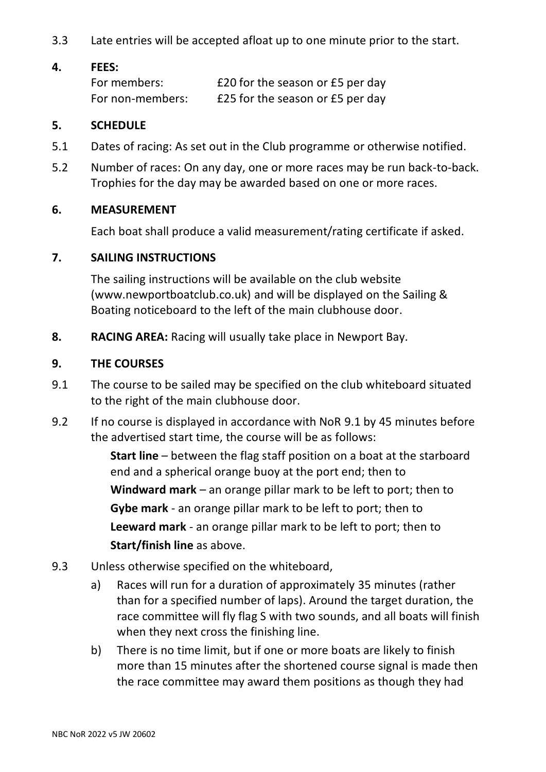3.3 Late entries will be accepted afloat up to one minute prior to the start.

#### **4. FEES:**

| For members:     | £20 for the season or £5 per day |
|------------------|----------------------------------|
| For non-members: | £25 for the season or £5 per day |

#### **5. SCHEDULE**

- 5.1 Dates of racing: As set out in the Club programme or otherwise notified.
- 5.2 Number of races: On any day, one or more races may be run back-to-back. Trophies for the day may be awarded based on one or more races.

## **6. MEASUREMENT**

Each boat shall produce a valid measurement/rating certificate if asked.

## **7. SAILING INSTRUCTIONS**

The sailing instructions will be available on the club website (www.newportboatclub.co.uk) and will be displayed on the Sailing & Boating noticeboard to the left of the main clubhouse door.

**8. RACING AREA:** Racing will usually take place in Newport Bay.

#### **9. THE COURSES**

- 9.1 The course to be sailed may be specified on the club whiteboard situated to the right of the main clubhouse door.
- 9.2 If no course is displayed in accordance with NoR 9.1 by 45 minutes before the advertised start time, the course will be as follows:

**Start line** – between the flag staff position on a boat at the starboard end and a spherical orange buoy at the port end; then to **Windward mark** – an orange pillar mark to be left to port; then to **Gybe mark** - an orange pillar mark to be left to port; then to **Leeward mark** - an orange pillar mark to be left to port; then to **Start/finish line** as above.

- 9.3 Unless otherwise specified on the whiteboard,
	- a) Races will run for a duration of approximately 35 minutes (rather than for a specified number of laps). Around the target duration, the race committee will fly flag S with two sounds, and all boats will finish when they next cross the finishing line.
	- b) There is no time limit, but if one or more boats are likely to finish more than 15 minutes after the shortened course signal is made then the race committee may award them positions as though they had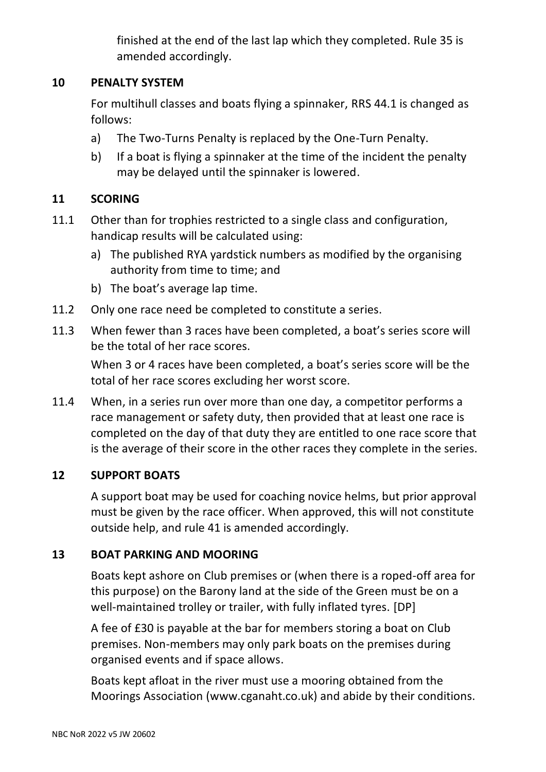finished at the end of the last lap which they completed. Rule 35 is amended accordingly.

## **10 PENALTY SYSTEM**

For multihull classes and boats flying a spinnaker, RRS 44.1 is changed as follows:

- a) The Two-Turns Penalty is replaced by the One-Turn Penalty.
- b) If a boat is flying a spinnaker at the time of the incident the penalty may be delayed until the spinnaker is lowered.

# **11 SCORING**

- 11.1 Other than for trophies restricted to a single class and configuration, handicap results will be calculated using:
	- a) The published RYA yardstick numbers as modified by the organising authority from time to time; and
	- b) The boat's average lap time.
- 11.2 Only one race need be completed to constitute a series.
- 11.3 When fewer than 3 races have been completed, a boat's series score will be the total of her race scores.

When 3 or 4 races have been completed, a boat's series score will be the total of her race scores excluding her worst score.

11.4 When, in a series run over more than one day, a competitor performs a race management or safety duty, then provided that at least one race is completed on the day of that duty they are entitled to one race score that is the average of their score in the other races they complete in the series.

# **12 SUPPORT BOATS**

A support boat may be used for coaching novice helms, but prior approval must be given by the race officer. When approved, this will not constitute outside help, and rule 41 is amended accordingly.

# **13 BOAT PARKING AND MOORING**

Boats kept ashore on Club premises or (when there is a roped-off area for this purpose) on the Barony land at the side of the Green must be on a well-maintained trolley or trailer, with fully inflated tyres. [DP]

A fee of £30 is payable at the bar for members storing a boat on Club premises. Non-members may only park boats on the premises during organised events and if space allows.

Boats kept afloat in the river must use a mooring obtained from the Moorings Association [\(www.cganaht.co.uk\)](http://www.cganaht.co.uk/) and abide by their conditions.